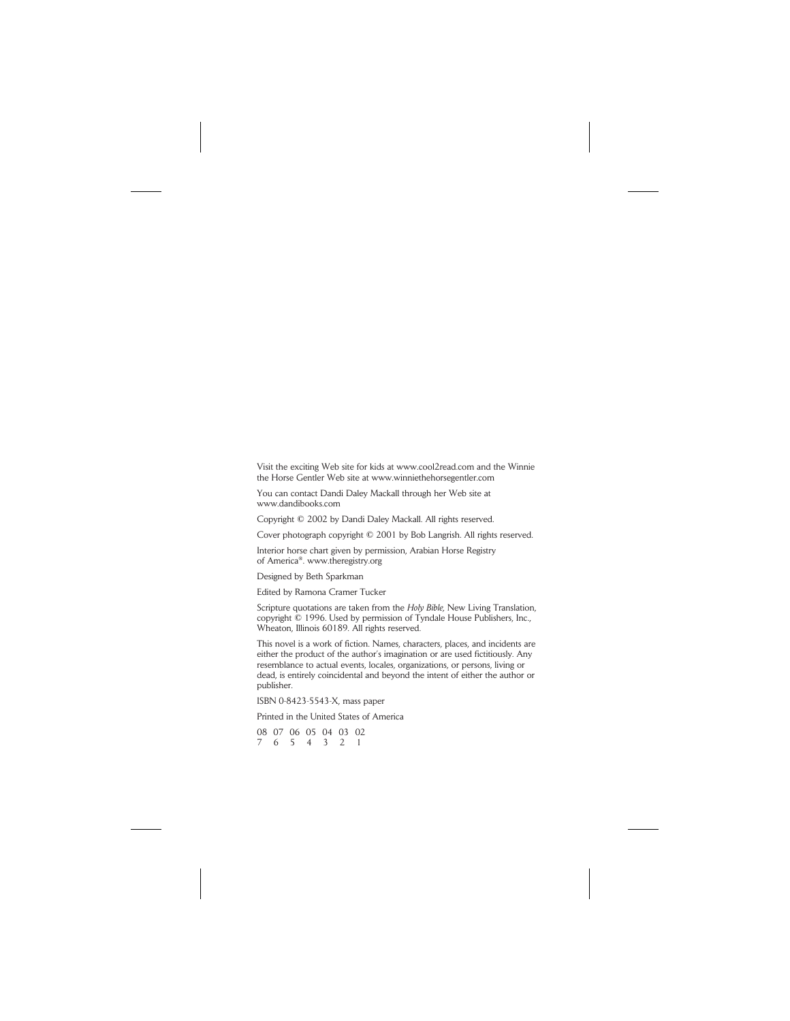Visit the exciting Web site for kids at www.cool2read.com and the Winnie the Horse Gentler Web site at www.winniethehorsegentler.com

You can contact Dandi Daley Mackall through her Web site at www.dandibooks.com

Copyright © 2002 by Dandi Daley Mackall. All rights reserved.

Cover photograph copyright © 2001 by Bob Langrish. All rights reserved.

Interior horse chart given by permission, Arabian Horse Registry of America®. www.theregistry.org

Designed by Beth Sparkman

Edited by Ramona Cramer Tucker

Scripture quotations are taken from the *Holy Bible,* New Living Translation, copyright © 1996. Used by permission of Tyndale House Publishers, Inc., Wheaton, Illinois 60189. All rights reserved.

This novel is a work of fiction. Names, characters, places, and incidents are either the product of the author's imagination or are used fictitiously. Any resemblance to actual events, locales, organizations, or persons, living or dead, is entirely coincidental and beyond the intent of either the author or publisher.

ISBN 0-8423-5543-X, mass paper

Printed in the United States of America

08 07 06 05 04 03 02 7654321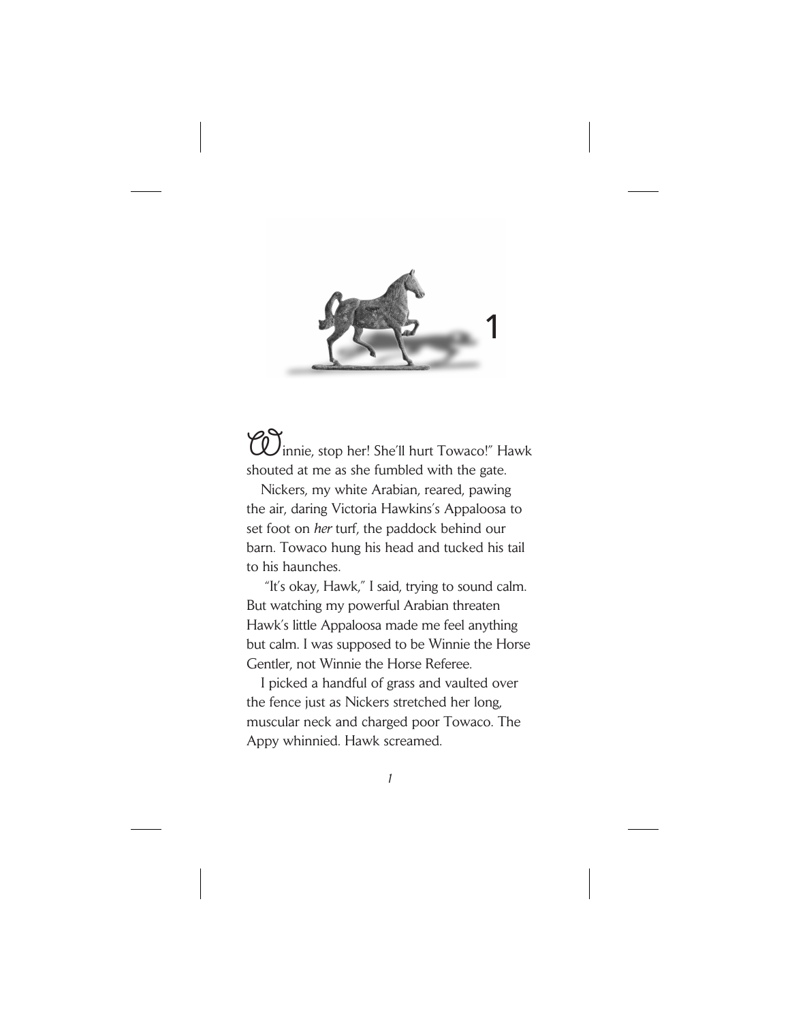

innie, stop her! She'll hurt Towaco!" Hawk shouted at me as she fumbled with the gate.

Nickers, my white Arabian, reared, pawing the air, daring Victoria Hawkins's Appaloosa to set foot on *her* turf, the paddock behind our barn. Towaco hung his head and tucked his tail to his haunches.

"It's okay, Hawk," I said, trying to sound calm. But watching my powerful Arabian threaten Hawk's little Appaloosa made me feel anything but calm. I was supposed to be Winnie the Horse Gentler, not Winnie the Horse Referee.

I picked a handful of grass and vaulted over the fence just as Nickers stretched her long, muscular neck and charged poor Towaco. The Appy whinnied. Hawk screamed.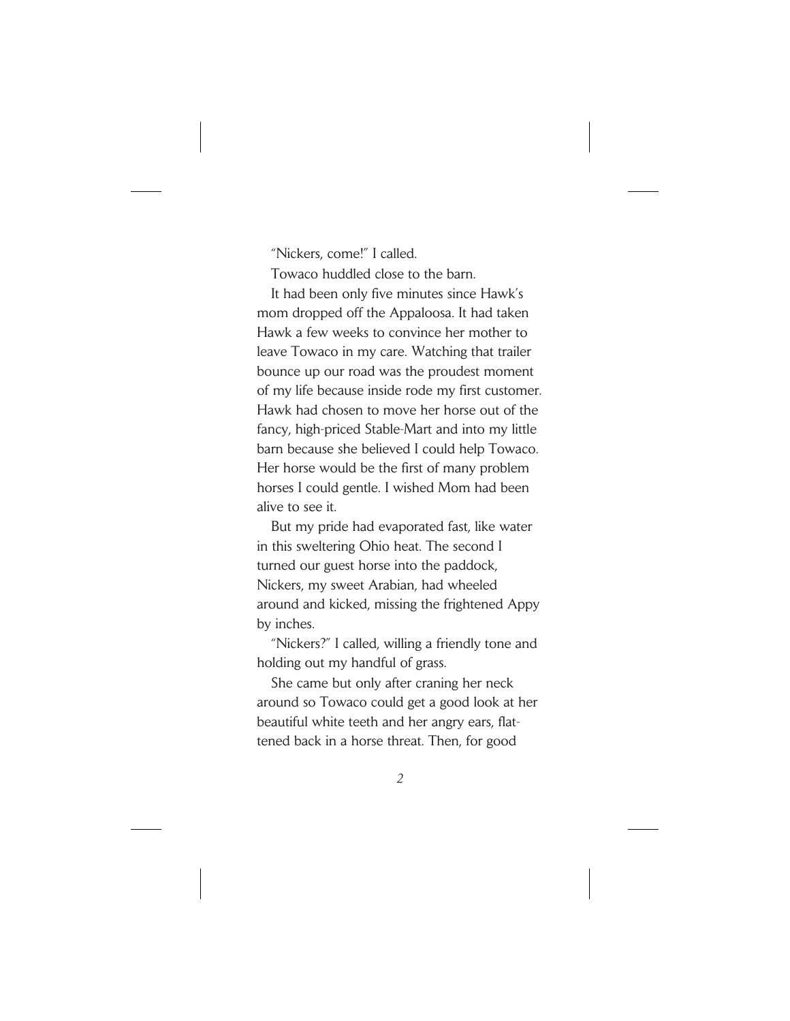"Nickers, come!" I called.

Towaco huddled close to the barn.

It had been only five minutes since Hawk's mom dropped off the Appaloosa. It had taken Hawk a few weeks to convince her mother to leave Towaco in my care. Watching that trailer bounce up our road was the proudest moment of my life because inside rode my first customer. Hawk had chosen to move her horse out of the fancy, high-priced Stable-Mart and into my little barn because she believed I could help Towaco. Her horse would be the first of many problem horses I could gentle. I wished Mom had been alive to see it.

But my pride had evaporated fast, like water in this sweltering Ohio heat. The second I turned our guest horse into the paddock, Nickers, my sweet Arabian, had wheeled around and kicked, missing the frightened Appy by inches.

"Nickers?" I called, willing a friendly tone and holding out my handful of grass.

She came but only after craning her neck around so Towaco could get a good look at her beautiful white teeth and her angry ears, flattened back in a horse threat. Then, for good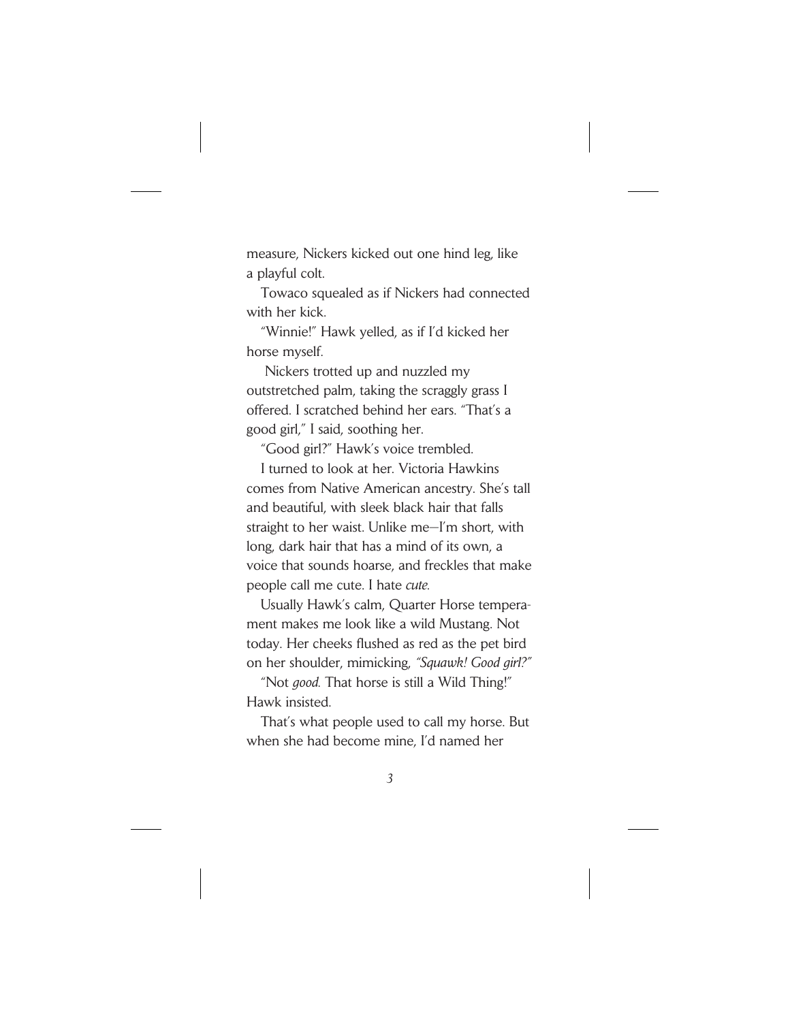measure, Nickers kicked out one hind leg, like a playful colt.

Towaco squealed as if Nickers had connected with her kick.

"Winnie!" Hawk yelled, as if I'd kicked her horse myself.

Nickers trotted up and nuzzled my outstretched palm, taking the scraggly grass I offered. I scratched behind her ears. "That's a good girl," I said, soothing her.

"Good girl?" Hawk's voice trembled.

I turned to look at her. Victoria Hawkins comes from Native American ancestry. She's tall and beautiful, with sleek black hair that falls straight to her waist. Unlike me—I'm short, with long, dark hair that has a mind of its own, a voice that sounds hoarse, and freckles that make people call me cute. I hate *cute.*

Usually Hawk's calm, Quarter Horse temperament makes me look like a wild Mustang. Not today. Her cheeks flushed as red as the pet bird on her shoulder, mimicking, *"Squawk! Good girl?"*

"Not *good.* That horse is still a Wild Thing!" Hawk insisted.

That's what people used to call my horse. But when she had become mine, I'd named her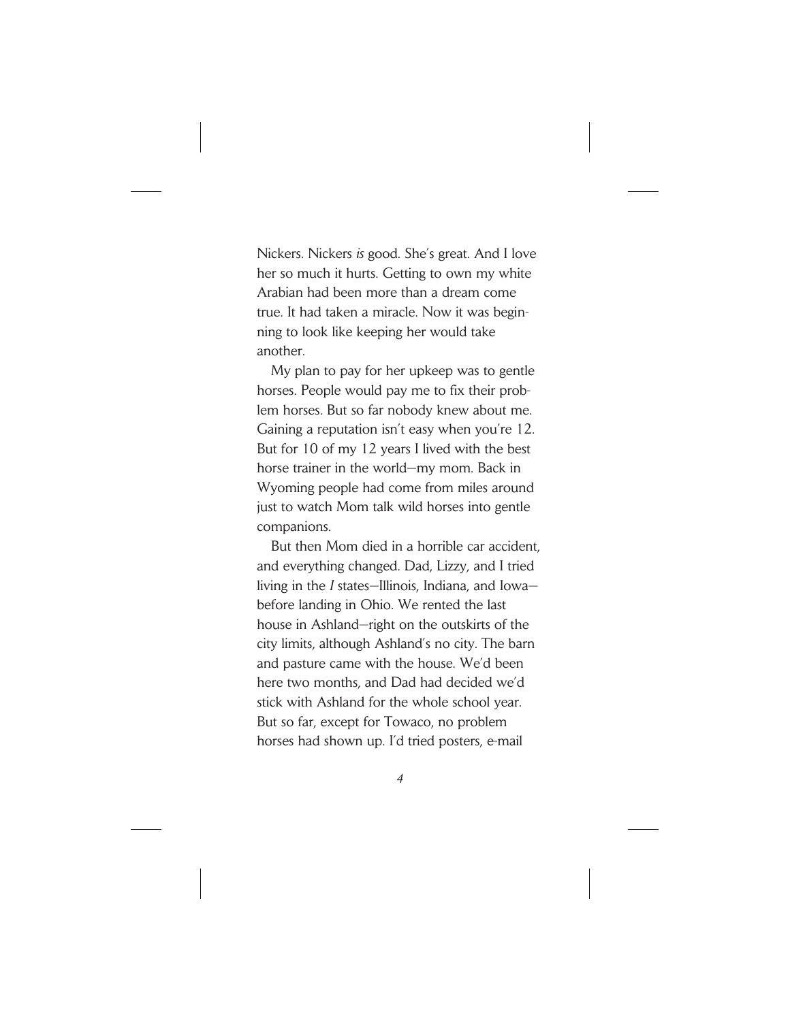Nickers. Nickers *is* good. She's great. And I love her so much it hurts. Getting to own my white Arabian had been more than a dream come true. It had taken a miracle. Now it was beginning to look like keeping her would take another.

My plan to pay for her upkeep was to gentle horses. People would pay me to fix their problem horses. But so far nobody knew about me. Gaining a reputation isn't easy when you're 12. But for 10 of my 12 years I lived with the best horse trainer in the world—my mom. Back in Wyoming people had come from miles around just to watch Mom talk wild horses into gentle companions.

But then Mom died in a horrible car accident, and everything changed. Dad, Lizzy, and I tried living in the *I* states—Illinois, Indiana, and Iowa before landing in Ohio. We rented the last house in Ashland—right on the outskirts of the city limits, although Ashland's no city. The barn and pasture came with the house. We'd been here two months, and Dad had decided we'd stick with Ashland for the whole school year. But so far, except for Towaco, no problem horses had shown up. I'd tried posters, e-mail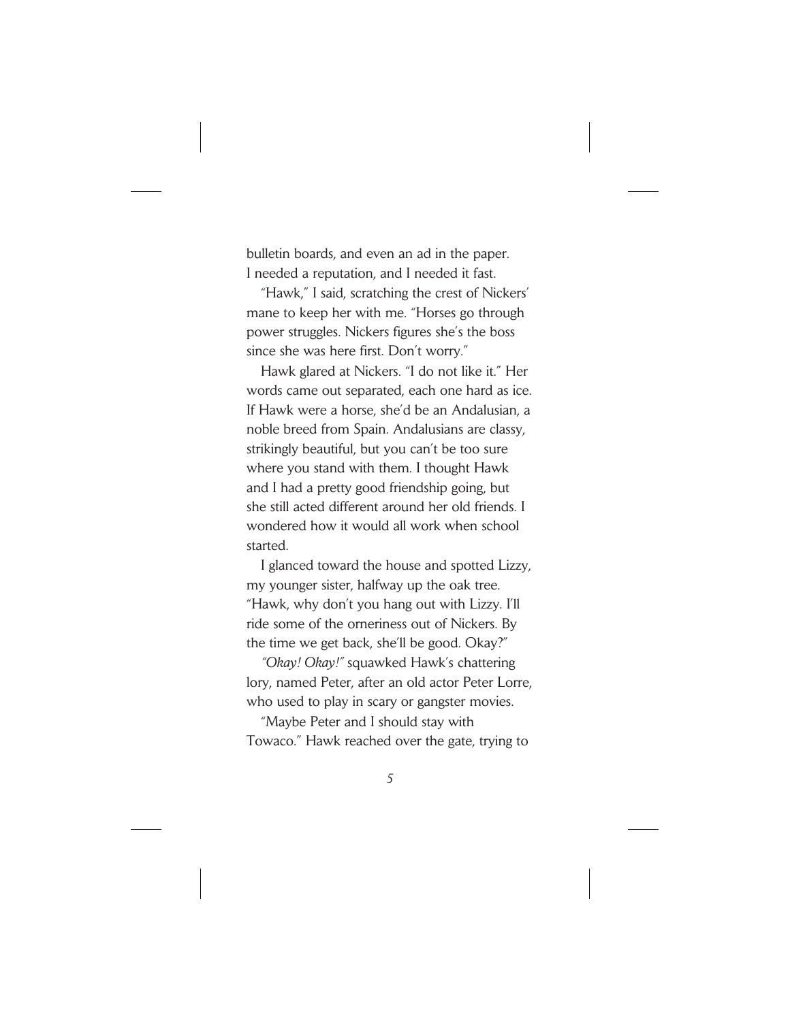bulletin boards, and even an ad in the paper. I needed a reputation, and I needed it fast.

"Hawk," I said, scratching the crest of Nickers' mane to keep her with me. "Horses go through power struggles. Nickers figures she's the boss since she was here first. Don't worry."

Hawk glared at Nickers. "I do not like it." Her words came out separated, each one hard as ice. If Hawk were a horse, she'd be an Andalusian, a noble breed from Spain. Andalusians are classy, strikingly beautiful, but you can't be too sure where you stand with them. I thought Hawk and I had a pretty good friendship going, but she still acted different around her old friends. I wondered how it would all work when school started.

I glanced toward the house and spotted Lizzy, my younger sister, halfway up the oak tree. "Hawk, why don't you hang out with Lizzy. I'll ride some of the orneriness out of Nickers. By the time we get back, she'll be good. Okay?"

*"Okay! Okay!"* squawked Hawk's chattering lory, named Peter, after an old actor Peter Lorre, who used to play in scary or gangster movies.

"Maybe Peter and I should stay with Towaco." Hawk reached over the gate, trying to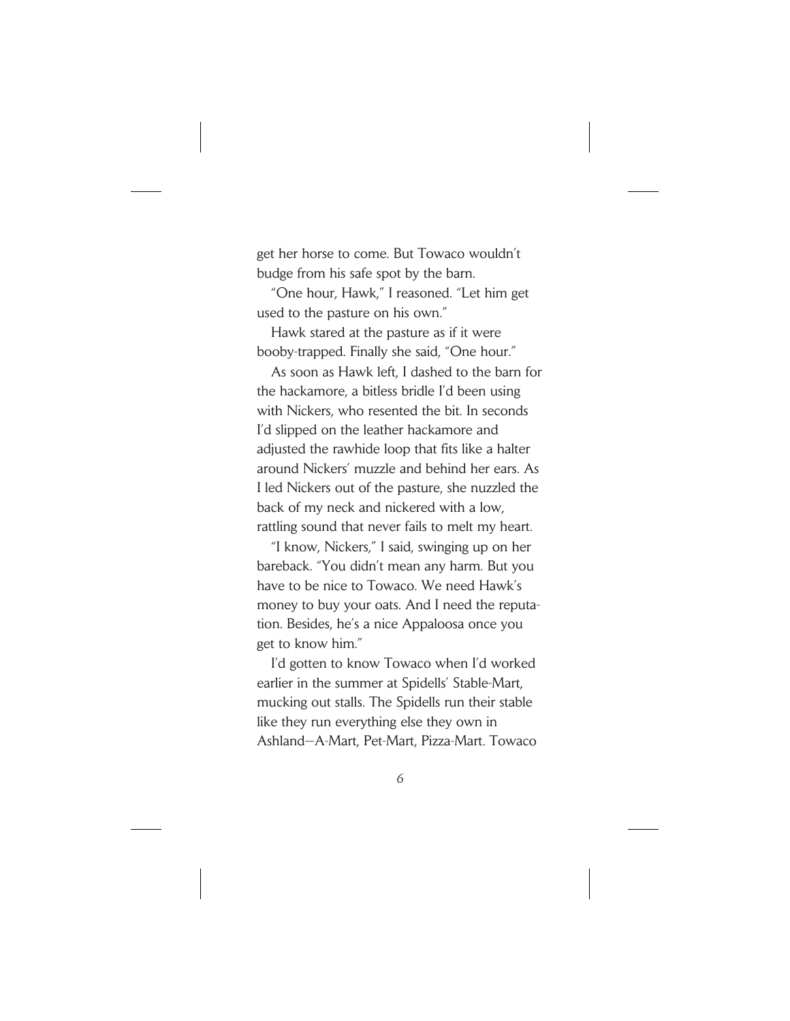get her horse to come. But Towaco wouldn't budge from his safe spot by the barn.

"One hour, Hawk," I reasoned. "Let him get used to the pasture on his own."

Hawk stared at the pasture as if it were booby-trapped. Finally she said, "One hour."

As soon as Hawk left, I dashed to the barn for the hackamore, a bitless bridle I'd been using with Nickers, who resented the bit. In seconds I'd slipped on the leather hackamore and adjusted the rawhide loop that fits like a halter around Nickers' muzzle and behind her ears. As I led Nickers out of the pasture, she nuzzled the back of my neck and nickered with a low, rattling sound that never fails to melt my heart.

"I know, Nickers," I said, swinging up on her bareback. "You didn't mean any harm. But you have to be nice to Towaco. We need Hawk's money to buy your oats. And I need the reputation. Besides, he's a nice Appaloosa once you get to know him."

I'd gotten to know Towaco when I'd worked earlier in the summer at Spidells' Stable-Mart, mucking out stalls. The Spidells run their stable like they run everything else they own in Ashland—A-Mart, Pet-Mart, Pizza-Mart. Towaco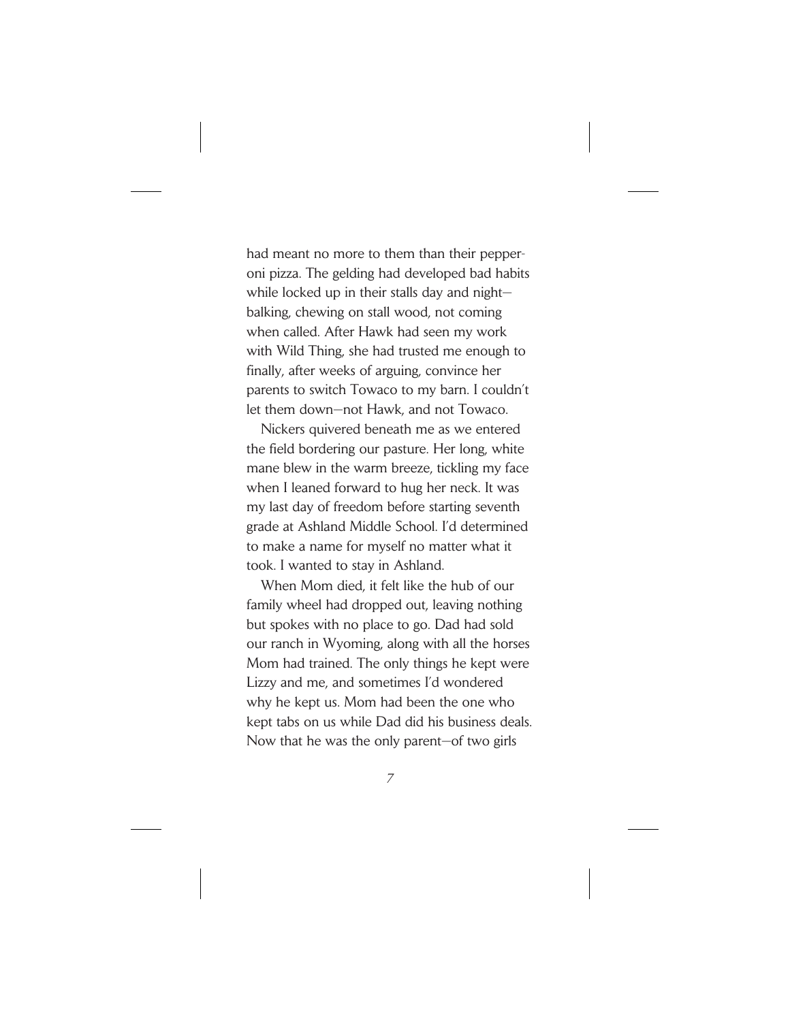had meant no more to them than their pepperoni pizza. The gelding had developed bad habits while locked up in their stalls day and night balking, chewing on stall wood, not coming when called. After Hawk had seen my work with Wild Thing, she had trusted me enough to finally, after weeks of arguing, convince her parents to switch Towaco to my barn. I couldn't let them down—not Hawk, and not Towaco.

Nickers quivered beneath me as we entered the field bordering our pasture. Her long, white mane blew in the warm breeze, tickling my face when I leaned forward to hug her neck. It was my last day of freedom before starting seventh grade at Ashland Middle School. I'd determined to make a name for myself no matter what it took. I wanted to stay in Ashland.

When Mom died, it felt like the hub of our family wheel had dropped out, leaving nothing but spokes with no place to go. Dad had sold our ranch in Wyoming, along with all the horses Mom had trained. The only things he kept were Lizzy and me, and sometimes I'd wondered why he kept us. Mom had been the one who kept tabs on us while Dad did his business deals. Now that he was the only parent—of two girls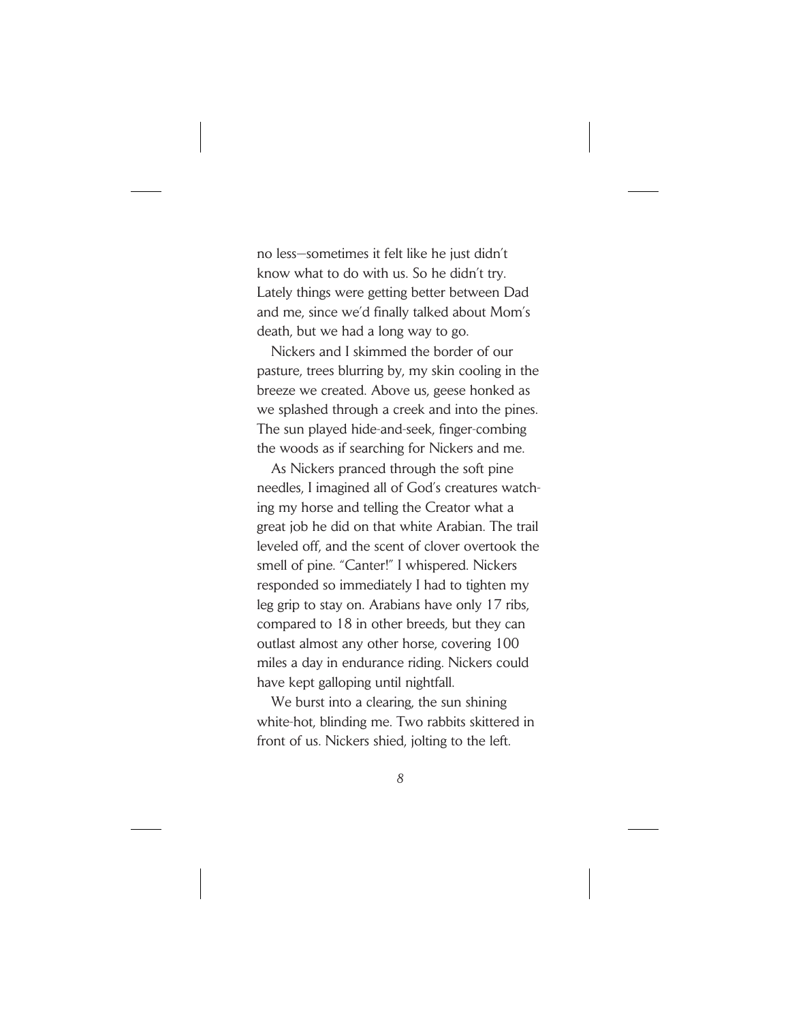no less—sometimes it felt like he just didn't know what to do with us. So he didn't try. Lately things were getting better between Dad and me, since we'd finally talked about Mom's death, but we had a long way to go.

Nickers and I skimmed the border of our pasture, trees blurring by, my skin cooling in the breeze we created. Above us, geese honked as we splashed through a creek and into the pines. The sun played hide-and-seek, finger-combing the woods as if searching for Nickers and me.

As Nickers pranced through the soft pine needles, I imagined all of God's creatures watching my horse and telling the Creator what a great job he did on that white Arabian. The trail leveled off, and the scent of clover overtook the smell of pine. "Canter!" I whispered. Nickers responded so immediately I had to tighten my leg grip to stay on. Arabians have only 17 ribs, compared to 18 in other breeds, but they can outlast almost any other horse, covering 100 miles a day in endurance riding. Nickers could have kept galloping until nightfall.

We burst into a clearing, the sun shining white-hot, blinding me. Two rabbits skittered in front of us. Nickers shied, jolting to the left.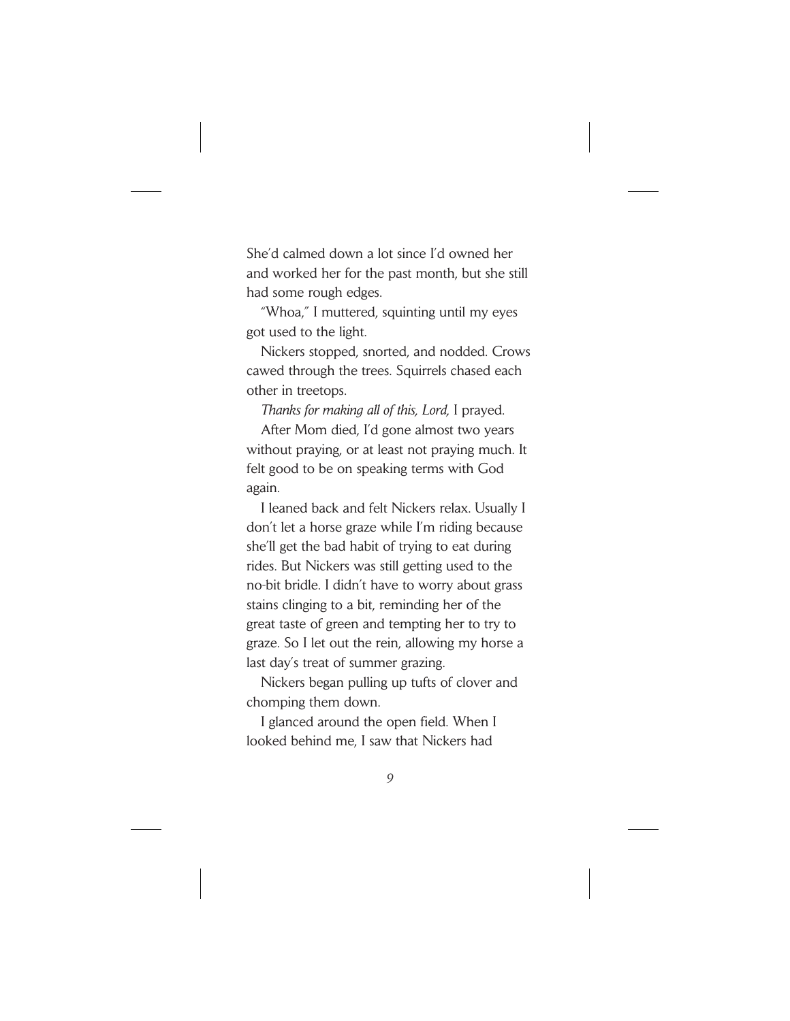She'd calmed down a lot since I'd owned her and worked her for the past month, but she still had some rough edges.

"Whoa," I muttered, squinting until my eyes got used to the light.

Nickers stopped, snorted, and nodded. Crows cawed through the trees. Squirrels chased each other in treetops.

*Thanks for making all of this, Lord,* I prayed.

After Mom died, I'd gone almost two years without praying, or at least not praying much. It felt good to be on speaking terms with God again.

I leaned back and felt Nickers relax. Usually I don't let a horse graze while I'm riding because she'll get the bad habit of trying to eat during rides. But Nickers was still getting used to the no-bit bridle. I didn't have to worry about grass stains clinging to a bit, reminding her of the great taste of green and tempting her to try to graze. So I let out the rein, allowing my horse a last day's treat of summer grazing.

Nickers began pulling up tufts of clover and chomping them down.

I glanced around the open field. When I looked behind me, I saw that Nickers had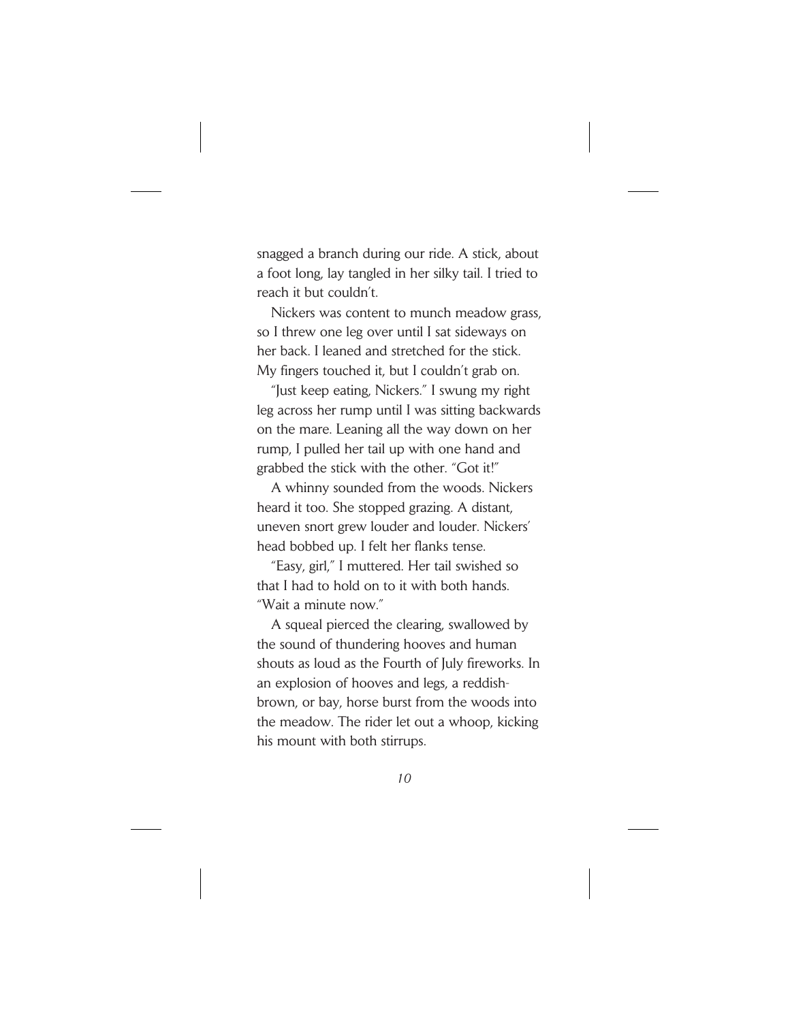snagged a branch during our ride. A stick, about a foot long, lay tangled in her silky tail. I tried to reach it but couldn't.

Nickers was content to munch meadow grass, so I threw one leg over until I sat sideways on her back. I leaned and stretched for the stick. My fingers touched it, but I couldn't grab on.

"Just keep eating, Nickers." I swung my right leg across her rump until I was sitting backwards on the mare. Leaning all the way down on her rump, I pulled her tail up with one hand and grabbed the stick with the other. "Got it!"

A whinny sounded from the woods. Nickers heard it too. She stopped grazing. A distant, uneven snort grew louder and louder. Nickers' head bobbed up. I felt her flanks tense.

"Easy, girl," I muttered. Her tail swished so that I had to hold on to it with both hands. "Wait a minute now."

A squeal pierced the clearing, swallowed by the sound of thundering hooves and human shouts as loud as the Fourth of July fireworks. In an explosion of hooves and legs, a reddishbrown, or bay, horse burst from the woods into the meadow. The rider let out a whoop, kicking his mount with both stirrups.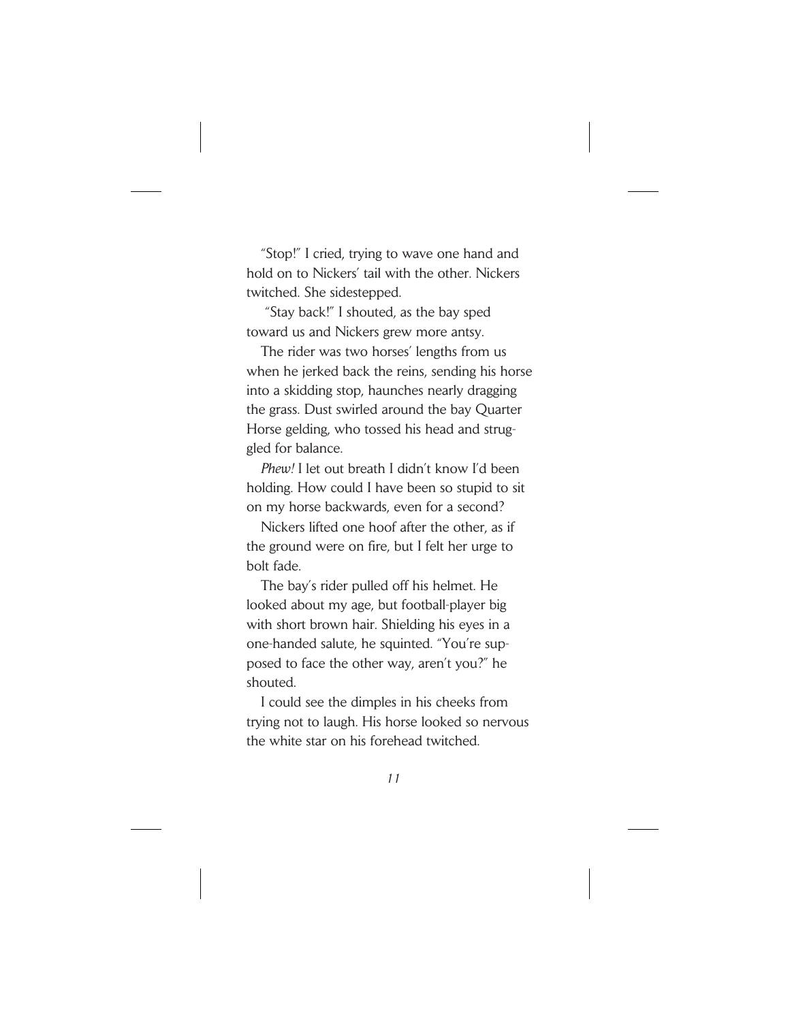"Stop!" I cried, trying to wave one hand and hold on to Nickers' tail with the other. Nickers twitched. She sidestepped.

"Stay back!" I shouted, as the bay sped toward us and Nickers grew more antsy.

The rider was two horses' lengths from us when he jerked back the reins, sending his horse into a skidding stop, haunches nearly dragging the grass. Dust swirled around the bay Quarter Horse gelding, who tossed his head and struggled for balance.

*Phew!* I let out breath I didn't know I'd been holding. How could I have been so stupid to sit on my horse backwards, even for a second?

Nickers lifted one hoof after the other, as if the ground were on fire, but I felt her urge to bolt fade.

The bay's rider pulled off his helmet. He looked about my age, but football-player big with short brown hair. Shielding his eyes in a one-handed salute, he squinted. "You're supposed to face the other way, aren't you?" he shouted.

I could see the dimples in his cheeks from trying not to laugh. His horse looked so nervous the white star on his forehead twitched.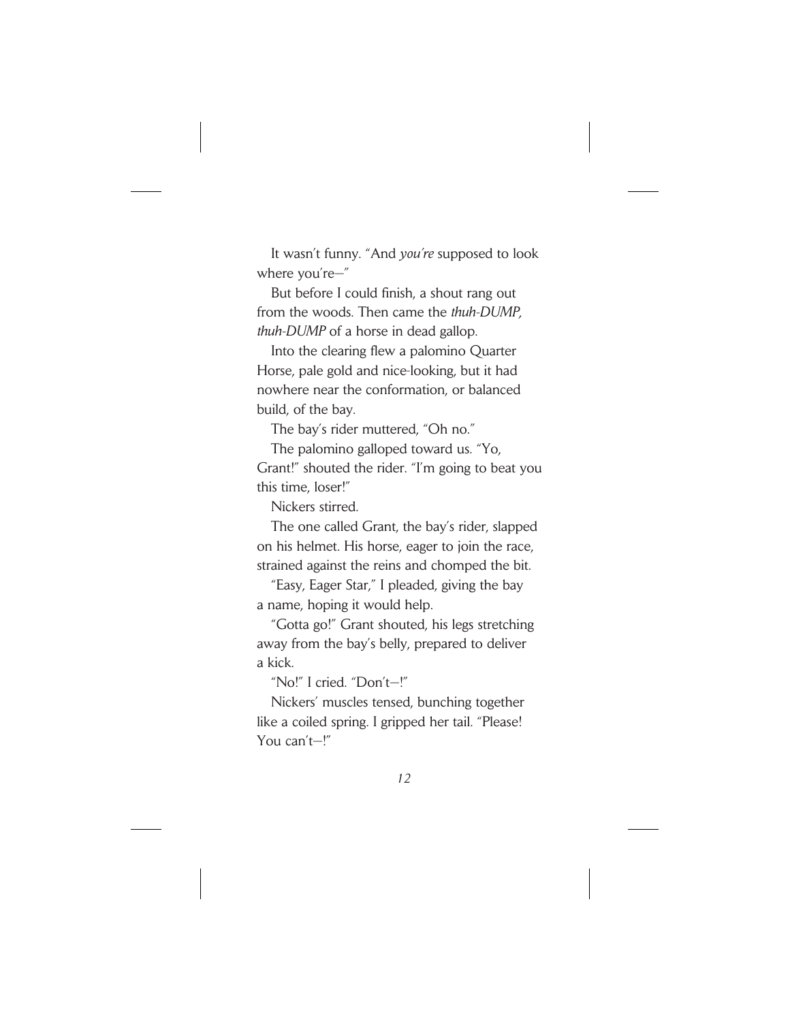It wasn't funny. "And *you're* supposed to look where you're—"

But before I could finish, a shout rang out from the woods. Then came the *thuh-DUMP, thuh-DUMP* of a horse in dead gallop.

Into the clearing flew a palomino Quarter Horse, pale gold and nice-looking, but it had nowhere near the conformation, or balanced build, of the bay.

The bay's rider muttered, "Oh no."

The palomino galloped toward us. "Yo, Grant!" shouted the rider. "I'm going to beat you this time, loser!"

Nickers stirred.

The one called Grant, the bay's rider, slapped on his helmet. His horse, eager to join the race, strained against the reins and chomped the bit.

"Easy, Eager Star," I pleaded, giving the bay a name, hoping it would help.

"Gotta go!" Grant shouted, his legs stretching away from the bay's belly, prepared to deliver a kick.

"No!" I cried. "Don't—!"

Nickers' muscles tensed, bunching together like a coiled spring. I gripped her tail. "Please! You can't—!"